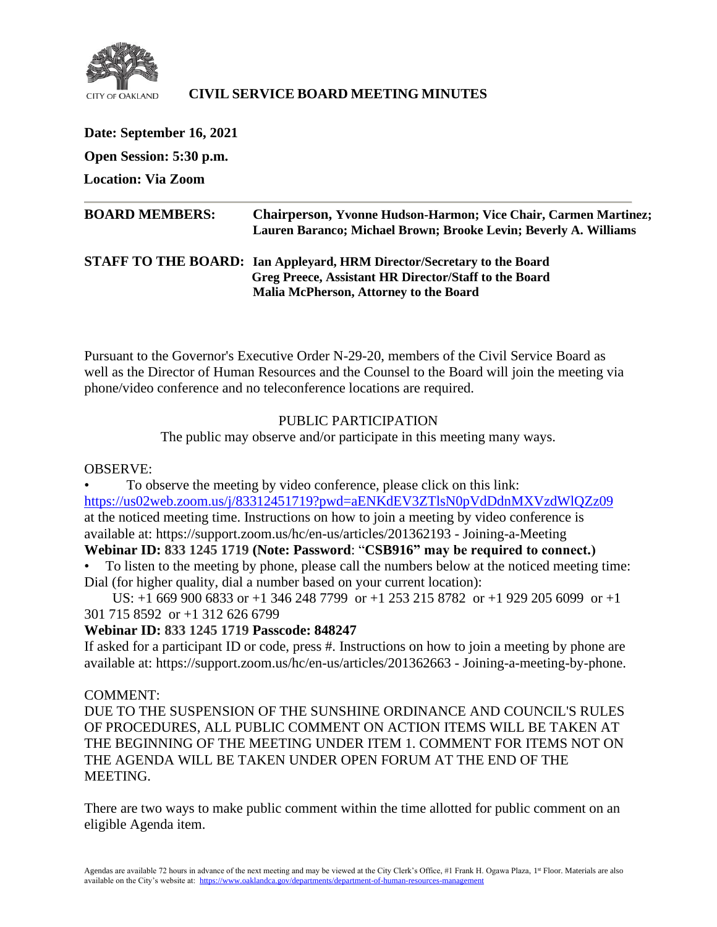

## **CIVIL SERVICE BOARD MEETING MINUTES**

**Date: September 16, 2021 Open Session: 5:30 p.m. Location: Via Zoom BOARD MEMBERS: Chairperson, Yvonne Hudson-Harmon; Vice Chair, Carmen Martinez; Lauren Baranco; Michael Brown; Brooke Levin; Beverly A. Williams STAFF TO THE BOARD: Ian Appleyard, HRM Director/Secretary to the Board Greg Preece, Assistant HR Director/Staff to the Board Malia McPherson, Attorney to the Board**

Pursuant to the Governor's Executive Order N-29-20, members of the Civil Service Board as well as the Director of Human Resources and the Counsel to the Board will join the meeting via phone/video conference and no teleconference locations are required.

### PUBLIC PARTICIPATION

The public may observe and/or participate in this meeting many ways.

### OBSERVE:

• To observe the meeting by video conference, please click on this link: <https://us02web.zoom.us/j/83312451719?pwd=aENKdEV3ZTlsN0pVdDdnMXVzdWlQZz09> at the noticed meeting time. Instructions on how to join a meeting by video conference is available at: https://support.zoom.us/hc/en-us/articles/201362193 - Joining-a-Meeting

### **Webinar ID: 833 1245 1719 (Note: Password**: "**CSB916" may be required to connect.)**

• To listen to the meeting by phone, please call the numbers below at the noticed meeting time: Dial (for higher quality, dial a number based on your current location):

 US: +1 669 900 6833 or +1 346 248 7799 or +1 253 215 8782 or +1 929 205 6099 or +1 301 715 8592 or +1 312 626 6799

### **Webinar ID: 833 1245 1719 Passcode: 848247**

If asked for a participant ID or code, press #. Instructions on how to join a meeting by phone are available at: https://support.zoom.us/hc/en-us/articles/201362663 - Joining-a-meeting-by-phone.

### COMMENT:

DUE TO THE SUSPENSION OF THE SUNSHINE ORDINANCE AND COUNCIL'S RULES OF PROCEDURES, ALL PUBLIC COMMENT ON ACTION ITEMS WILL BE TAKEN AT THE BEGINNING OF THE MEETING UNDER ITEM 1. COMMENT FOR ITEMS NOT ON THE AGENDA WILL BE TAKEN UNDER OPEN FORUM AT THE END OF THE MEETING.

There are two ways to make public comment within the time allotted for public comment on an eligible Agenda item.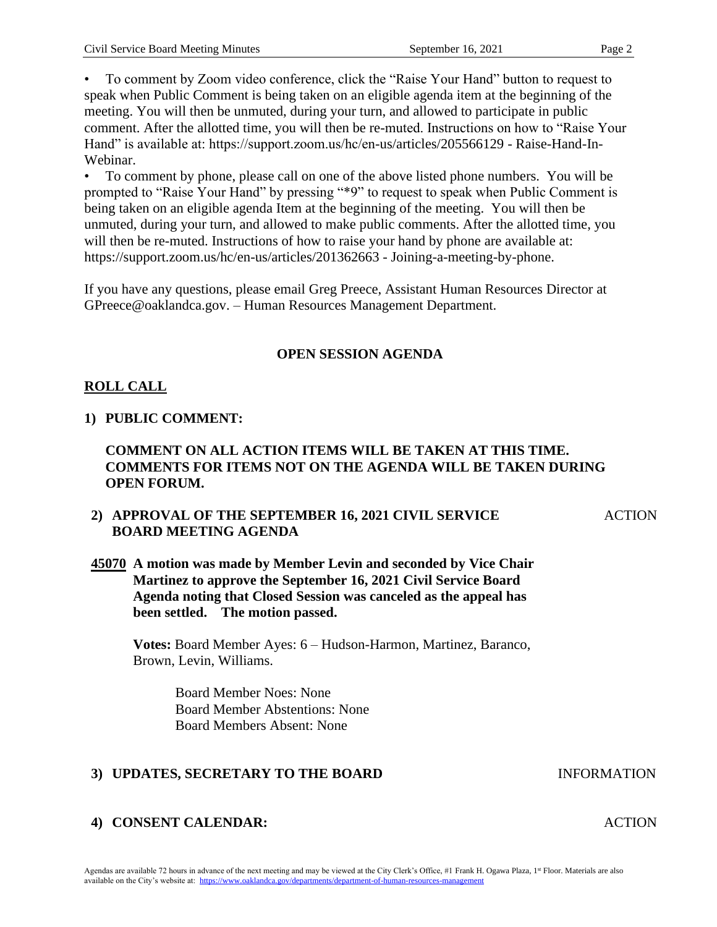• To comment by Zoom video conference, click the "Raise Your Hand" button to request to speak when Public Comment is being taken on an eligible agenda item at the beginning of the meeting. You will then be unmuted, during your turn, and allowed to participate in public comment. After the allotted time, you will then be re-muted. Instructions on how to "Raise Your Hand" is available at: https://support.zoom.us/hc/en-us/articles/205566129 - Raise-Hand-In-Webinar.

• To comment by phone, please call on one of the above listed phone numbers. You will be prompted to "Raise Your Hand" by pressing "\*9" to request to speak when Public Comment is being taken on an eligible agenda Item at the beginning of the meeting. You will then be unmuted, during your turn, and allowed to make public comments. After the allotted time, you will then be re-muted. Instructions of how to raise your hand by phone are available at: https://support.zoom.us/hc/en-us/articles/201362663 - Joining-a-meeting-by-phone.

If you have any questions, please email Greg Preece, Assistant Human Resources Director at GPreece@oaklandca.gov. – Human Resources Management Department.

### **OPEN SESSION AGENDA**

### **ROLL CALL**

### **1) PUBLIC COMMENT:**

### **COMMENT ON ALL ACTION ITEMS WILL BE TAKEN AT THIS TIME. COMMENTS FOR ITEMS NOT ON THE AGENDA WILL BE TAKEN DURING OPEN FORUM.**

### **2) APPROVAL OF THE SEPTEMBER 16, 2021 CIVIL SERVICE BOARD MEETING AGENDA**

## **45070 A motion was made by Member Levin and seconded by Vice Chair Martinez to approve the September 16, 2021 Civil Service Board Agenda noting that Closed Session was canceled as the appeal has been settled. The motion passed.**

**Votes:** Board Member Ayes: 6 – Hudson-Harmon, Martinez, Baranco, Brown, Levin, Williams.

> Board Member Noes: None Board Member Abstentions: None Board Members Absent: None

### **3) UPDATES, SECRETARY TO THE BOARD INFORMATION**

### **4) CONSENT CALENDAR:** ACTION

### Agendas are available 72 hours in advance of the next meeting and may be viewed at the City Clerk's Office, #1 Frank H. Ogawa Plaza, 1st Floor. Materials are also available on the City's website at: [https://www.oaklandca.gov/departments/department-of-human-resources-management](about:blank)

ACTION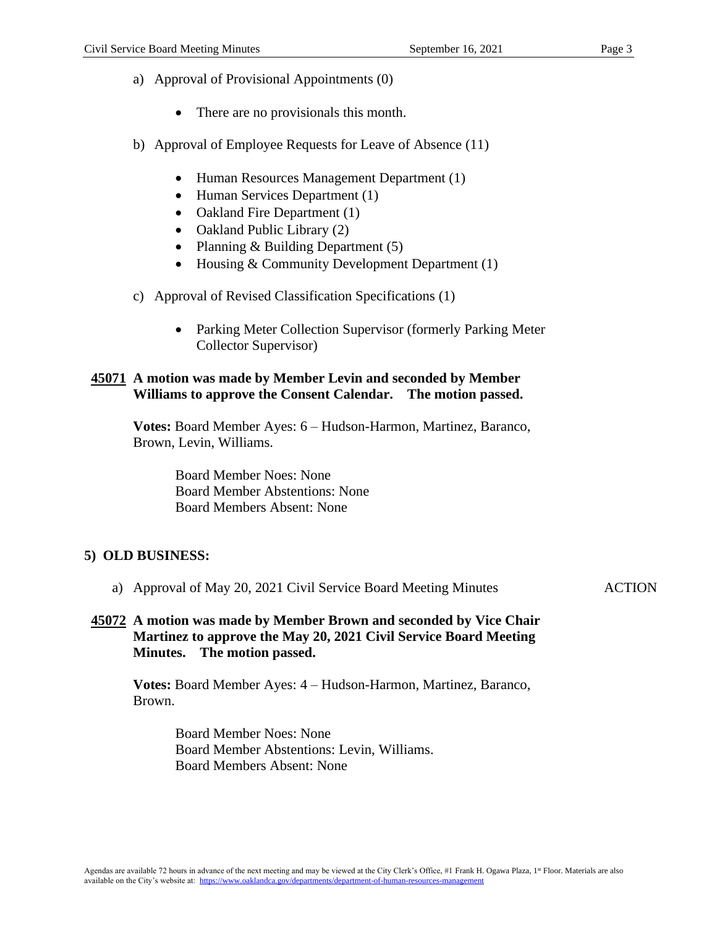- a) Approval of Provisional Appointments (0)
	- There are no provisionals this month.
- b) Approval of Employee Requests for Leave of Absence (11)
	- Human Resources Management Department (1)
	- Human Services Department (1)
	- Oakland Fire Department (1)
	- Oakland Public Library (2)
	- Planning & Building Department (5)
	- Housing & Community Development Department (1)
- c) Approval of Revised Classification Specifications (1)
	- Parking Meter Collection Supervisor (formerly Parking Meter Collector Supervisor)

### **45071 A motion was made by Member Levin and seconded by Member Williams to approve the Consent Calendar. The motion passed.**

**Votes:** Board Member Ayes: 6 – Hudson-Harmon, Martinez, Baranco, Brown, Levin, Williams.

> Board Member Noes: None Board Member Abstentions: None Board Members Absent: None

### **5) OLD BUSINESS:**

a) Approval of May 20, 2021 Civil Service Board Meeting Minutes

**ACTION** 

### **45072 A motion was made by Member Brown and seconded by Vice Chair Martinez to approve the May 20, 2021 Civil Service Board Meeting Minutes. The motion passed.**

**Votes:** Board Member Ayes: 4 – Hudson-Harmon, Martinez, Baranco, Brown.

> Board Member Noes: None Board Member Abstentions: Levin, Williams. Board Members Absent: None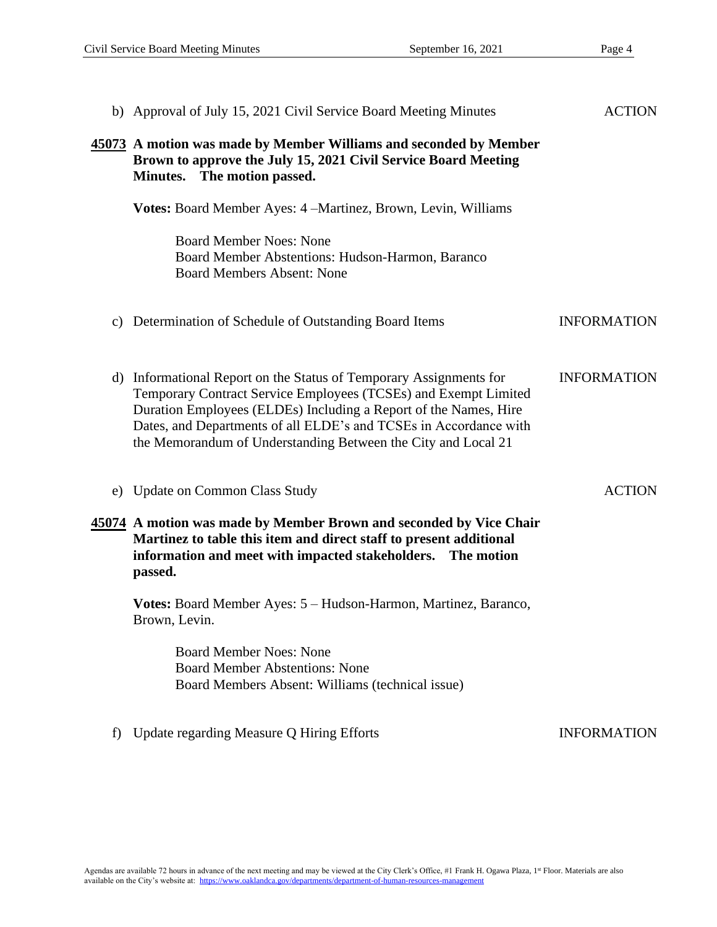|                      | b) Approval of July 15, 2021 Civil Service Board Meeting Minutes                                                                                                                                                                                                                                                                                | <b>ACTION</b>      |
|----------------------|-------------------------------------------------------------------------------------------------------------------------------------------------------------------------------------------------------------------------------------------------------------------------------------------------------------------------------------------------|--------------------|
|                      | 45073 A motion was made by Member Williams and seconded by Member<br>Brown to approve the July 15, 2021 Civil Service Board Meeting<br>Minutes. The motion passed.                                                                                                                                                                              |                    |
|                      | <b>Votes:</b> Board Member Ayes: 4 – Martinez, Brown, Levin, Williams                                                                                                                                                                                                                                                                           |                    |
|                      | <b>Board Member Noes: None</b><br>Board Member Abstentions: Hudson-Harmon, Baranco<br><b>Board Members Absent: None</b>                                                                                                                                                                                                                         |                    |
|                      | c) Determination of Schedule of Outstanding Board Items                                                                                                                                                                                                                                                                                         | <b>INFORMATION</b> |
|                      | d) Informational Report on the Status of Temporary Assignments for<br>Temporary Contract Service Employees (TCSEs) and Exempt Limited<br>Duration Employees (ELDEs) Including a Report of the Names, Hire<br>Dates, and Departments of all ELDE's and TCSEs in Accordance with<br>the Memorandum of Understanding Between the City and Local 21 | <b>INFORMATION</b> |
| e)                   | <b>Update on Common Class Study</b>                                                                                                                                                                                                                                                                                                             | <b>ACTION</b>      |
|                      | 45074 A motion was made by Member Brown and seconded by Vice Chair<br>Martinez to table this item and direct staff to present additional<br>information and meet with impacted stakeholders. The motion<br>passed.                                                                                                                              |                    |
|                      | Votes: Board Member Ayes: 5 - Hudson-Harmon, Martinez, Baranco,<br>Brown, Levin.                                                                                                                                                                                                                                                                |                    |
|                      | <b>Board Member Noes: None</b><br><b>Board Member Abstentions: None</b><br>Board Members Absent: Williams (technical issue)                                                                                                                                                                                                                     |                    |
| $\ddot{\phantom{1}}$ | Update regarding Measure Q Hiring Efforts                                                                                                                                                                                                                                                                                                       | <b>INFORMATION</b> |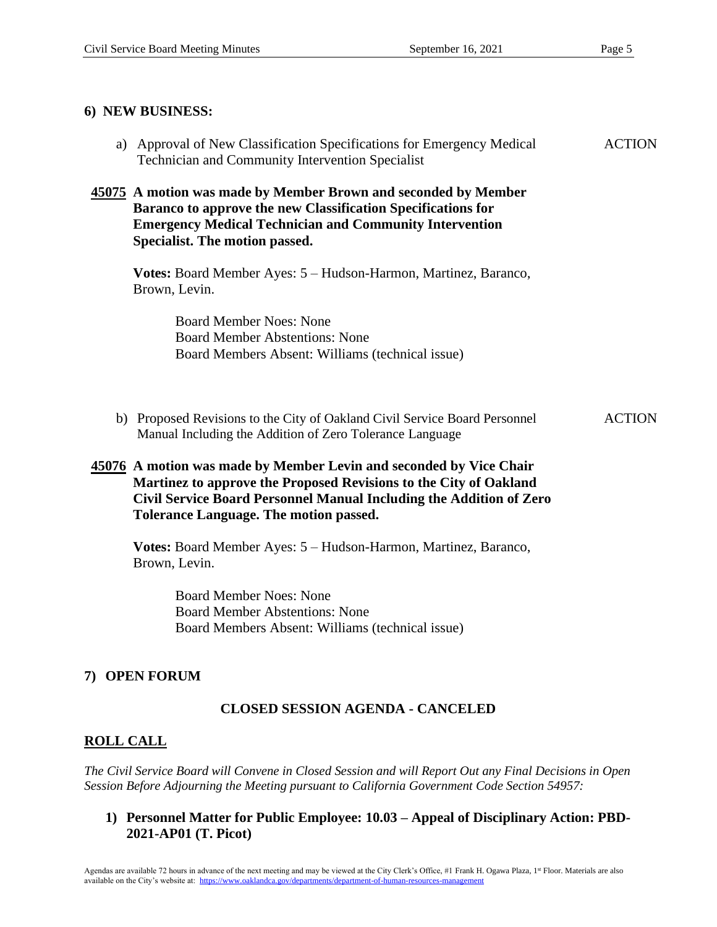| 6) NEW BUSINESS:                                                                                                                                                                                                                                                |               |
|-----------------------------------------------------------------------------------------------------------------------------------------------------------------------------------------------------------------------------------------------------------------|---------------|
| a) Approval of New Classification Specifications for Emergency Medical<br>Technician and Community Intervention Specialist                                                                                                                                      | <b>ACTION</b> |
| 45075 A motion was made by Member Brown and seconded by Member<br>Baranco to approve the new Classification Specifications for<br><b>Emergency Medical Technician and Community Intervention</b><br>Specialist. The motion passed.                              |               |
| Votes: Board Member Ayes: 5 - Hudson-Harmon, Martinez, Baranco,<br>Brown, Levin.                                                                                                                                                                                |               |
| <b>Board Member Noes: None</b><br><b>Board Member Abstentions: None</b><br>Board Members Absent: Williams (technical issue)                                                                                                                                     |               |
| b) Proposed Revisions to the City of Oakland Civil Service Board Personnel<br>Manual Including the Addition of Zero Tolerance Language                                                                                                                          | <b>ACTION</b> |
| 45076 A motion was made by Member Levin and seconded by Vice Chair<br>Martinez to approve the Proposed Revisions to the City of Oakland<br>Civil Service Board Personnel Manual Including the Addition of Zero<br><b>Tolerance Language. The motion passed.</b> |               |
| Votes: Board Member Ayes: 5 - Hudson-Harmon, Martinez, Baranco,<br>Brown, Levin.                                                                                                                                                                                |               |
| <b>Board Member Noes: None</b><br><b>Board Member Abstentions: None</b><br>Board Members Absent: Williams (technical issue)                                                                                                                                     |               |

### **7) OPEN FORUM**

### **CLOSED SESSION AGENDA - CANCELED**

### **ROLL CALL**

*The Civil Service Board will Convene in Closed Session and will Report Out any Final Decisions in Open Session Before Adjourning the Meeting pursuant to California Government Code Section 54957:*

**1) Personnel Matter for Public Employee: 10.03 – Appeal of Disciplinary Action: PBD-2021-AP01 (T. Picot)**